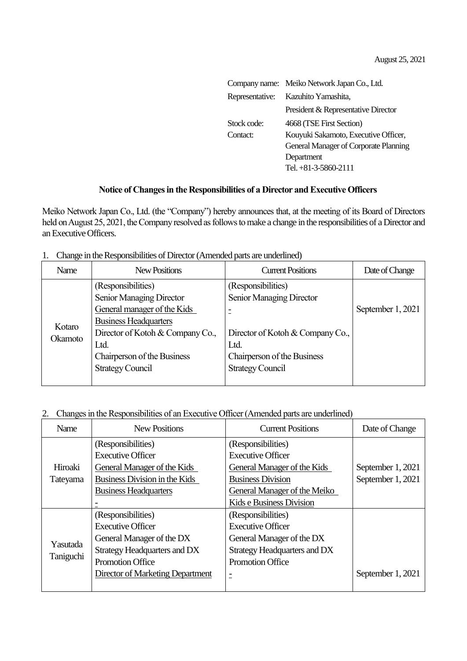|                 | Company name: Meiko Network Japan Co., Ltd. |
|-----------------|---------------------------------------------|
| Representative: | Kazuhito Yamashita,                         |
|                 | President & Representative Director         |
| Stock code:     | 4668 (TSE First Section)                    |
| Contact:        | Kouyuki Sakamoto, Executive Officer,        |
|                 | General Manager of Corporate Planning       |
|                 | Department                                  |
|                 | Tel. +81-3-5860-2111                        |

## Notice of Changes in the Responsibilities of a Director and Executive Officers

Meiko Network Japan Co., Ltd. (the "Company") hereby announces that, at the meeting of its Board of Directors held on August 25, 2021, the Company resolved as follows to make a change in the responsibilities of a Director and an Executive Officers.

|  |  | Change in the Responsibilities of Director (Amended parts are underlined) |  |  |
|--|--|---------------------------------------------------------------------------|--|--|
|--|--|---------------------------------------------------------------------------|--|--|

| Name    | New Positions                                                                                                                                     | <b>Current Positions</b>                                                                                            | Date of Change    |
|---------|---------------------------------------------------------------------------------------------------------------------------------------------------|---------------------------------------------------------------------------------------------------------------------|-------------------|
| Kotaro  | (Responsibilities)<br>Senior Managing Director<br>General manager of the Kids<br><b>Business Headquarters</b><br>Director of Kotoh & Company Co., | (Responsibilities)<br>Senior Managing Director<br>-<br>$\overline{\phantom{0}}$<br>Director of Kotoh & Company Co., | September 1, 2021 |
| Okamoto | Ltd.<br>Chairperson of the Business<br><b>Strategy Council</b>                                                                                    | Ltd.<br>Chairperson of the Business<br><b>Strategy Council</b>                                                      |                   |

## 2. Changes in the Responsibilities of an Executive Officer (Amended parts are underlined)

| Name      | <b>New Positions</b>             | <b>Current Positions</b>     | Date of Change    |
|-----------|----------------------------------|------------------------------|-------------------|
|           | (Responsibilities)               | (Responsibilities)           |                   |
|           | <b>Executive Officer</b>         | <b>Executive Officer</b>     |                   |
| Hiroaki   | General Manager of the Kids      | General Manager of the Kids  | September 1, 2021 |
| Tateyama  | Business Division in the Kids    | <b>Business Division</b>     | September 1, 2021 |
|           | <b>Business Headquarters</b>     | General Manager of the Meiko |                   |
|           |                                  | Kids e Business Division     |                   |
|           | (Responsibilities)               | (Responsibilities)           |                   |
|           | <b>Executive Officer</b>         | <b>Executive Officer</b>     |                   |
|           | General Manager of the DX        | General Manager of the DX    |                   |
| Yasutada  | Strategy Headquarters and DX     | Strategy Headquarters and DX |                   |
| Taniguchi | <b>Promotion Office</b>          | <b>Promotion Office</b>      |                   |
|           | Director of Marketing Department | Ξ                            | September 1, 2021 |
|           |                                  |                              |                   |